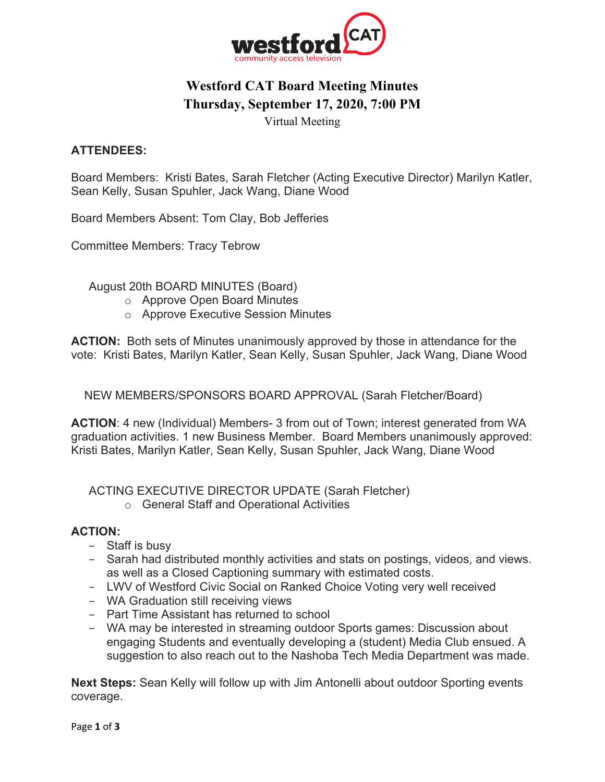

# **Westford CAT Board Meeting Minutes Thursday, September 17, 2020, 7:00 PM**

Virtual Meeting

## **ATTENDEES:**

Board Members: Kristi Bates, Sarah Fletcher (Acting Executive Director) Marilyn Katler, Sean Kelly, Susan Spuhler, Jack Wang, Diane Wood

Board Members Absent: Tom Clay, Bob Jefferies

Committee Members: Tracy Tebrow

August 20th BOARD MINUTES (Board)

- o Approve Open Board Minutes
- o Approve Executive Session Minutes

**ACTION:** Both sets of Minutes unanimously approved by those in attendance for the vote: Kristi Bates, Marilyn Katler, Sean Kelly, Susan Spuhler, Jack Wang, Diane Wood

NEW MEMBERS/SPONSORS BOARD APPROVAL (Sarah Fletcher/Board)

**ACTION**: 4 new (Individual) Members- 3 from out of Town; interest generated from WA graduation activities. 1 new Business Member. Board Members unanimously approved: Kristi Bates, Marilyn Katler, Sean Kelly, Susan Spuhler, Jack Wang, Diane Wood

ACTING EXECUTIVE DIRECTOR UPDATE (Sarah Fletcher)

o General Staff and Operational Activities

#### **ACTION:**

- − Staff is busy
- − Sarah had distributed monthly activities and stats on postings, videos, and views. as well as a Closed Captioning summary with estimated costs.
- − LWV of Westford Civic Social on Ranked Choice Voting very well received
- − WA Graduation still receiving views
- − Part Time Assistant has returned to school
- − WA may be interested in streaming outdoor Sports games: Discussion about engaging Students and eventually developing a (student) Media Club ensued. A suggestion to also reach out to the Nashoba Tech Media Department was made.

**Next Steps:** Sean Kelly will follow up with Jim Antonelli about outdoor Sporting events coverage.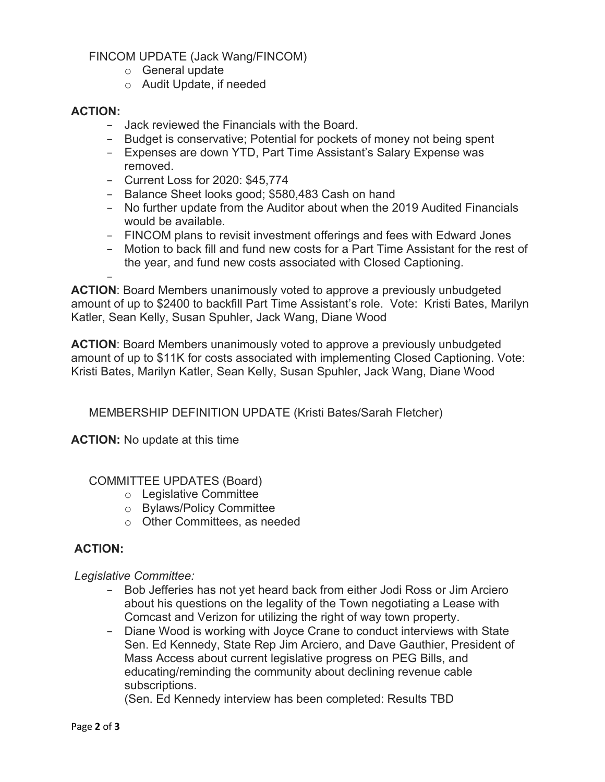FINCOM UPDATE (Jack Wang/FINCOM)

- o General update
- o Audit Update, if needed

## **ACTION:**

- − Jack reviewed the Financials with the Board.
- − Budget is conservative; Potential for pockets of money not being spent
- − Expenses are down YTD, Part Time Assistant's Salary Expense was removed.
- − Current Loss for 2020: \$45,774
- − Balance Sheet looks good; \$580,483 Cash on hand
- − No further update from the Auditor about when the 2019 Audited Financials would be available.
- − FINCOM plans to revisit investment offerings and fees with Edward Jones
- − Motion to back fill and fund new costs for a Part Time Assistant for the rest of the year, and fund new costs associated with Closed Captioning.

− **ACTION**: Board Members unanimously voted to approve a previously unbudgeted amount of up to \$2400 to backfill Part Time Assistant's role. Vote: Kristi Bates, Marilyn Katler, Sean Kelly, Susan Spuhler, Jack Wang, Diane Wood

**ACTION**: Board Members unanimously voted to approve a previously unbudgeted amount of up to \$11K for costs associated with implementing Closed Captioning. Vote: Kristi Bates, Marilyn Katler, Sean Kelly, Susan Spuhler, Jack Wang, Diane Wood

MEMBERSHIP DEFINITION UPDATE (Kristi Bates/Sarah Fletcher)

**ACTION:** No update at this time

COMMITTEE UPDATES (Board)

- o Legislative Committee
- o Bylaws/Policy Committee
- o Other Committees, as needed

# **ACTION:**

*Legislative Committee:*

- − Bob Jefferies has not yet heard back from either Jodi Ross or Jim Arciero about his questions on the legality of the Town negotiating a Lease with Comcast and Verizon for utilizing the right of way town property.
- − Diane Wood is working with Joyce Crane to conduct interviews with State Sen. Ed Kennedy, State Rep Jim Arciero, and Dave Gauthier, President of Mass Access about current legislative progress on PEG Bills, and educating/reminding the community about declining revenue cable subscriptions.

(Sen. Ed Kennedy interview has been completed: Results TBD